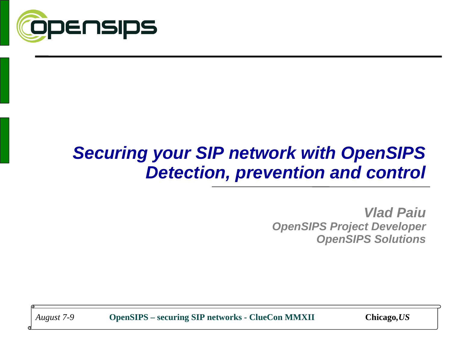

### *Securing your SIP network with OpenSIPS Detection, prevention and control*

*Vlad Paiu OpenSIPS Project Developer OpenSIPS Solutions*

*August 7-9* **OpenSIPS – securing SIP networks - ClueCon MMXII Chicago***,US*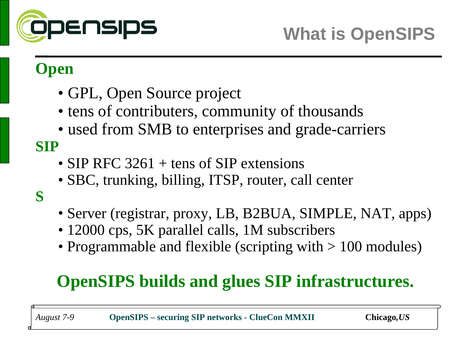

### **Open**

- GPL, Open Source project
- tens of contributers, community of thousands
- used from SMB to enterprises and grade-carriers

#### **SIP**

- SIP RFC 3261 + tens of SIP extensions
- SBC, trunking, billing, ITSP, router, call center
- **S**
- Server (registrar, proxy, LB, B2BUA, SIMPLE, NAT, apps)
- 12000 cps, 5K parallel calls, 1M subscribers
- Programmable and flexible (scripting with  $> 100$  modules)

## **OpenSIPS builds and glues SIP infrastructures.**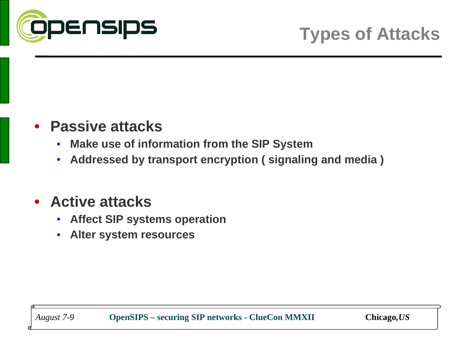

#### • **Passive attacks**

- **Make use of information from the SIP System**
- **Addressed by transport encryption ( signaling and media )**

#### • **Active attacks**

- **Affect SIP systems operation**
- **Alter system resources**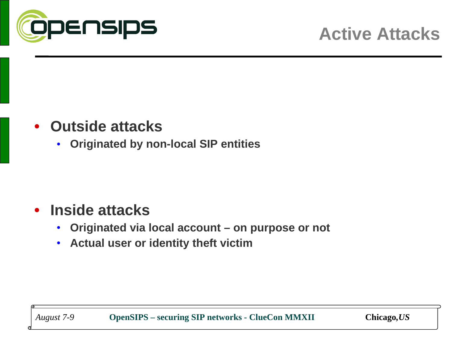

#### • **Outside attacks**

• **Originated by non-local SIP entities**

#### • **Inside attacks**

- **Originated via local account on purpose or not**
- **Actual user or identity theft victim**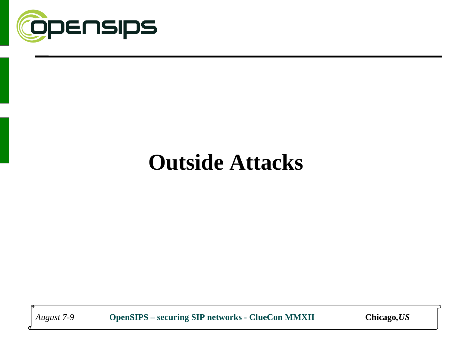

# **Outside Attacks**

*August 7-9* **OpenSIPS – securing SIP networks - ClueCon MMXII Chicago***,US*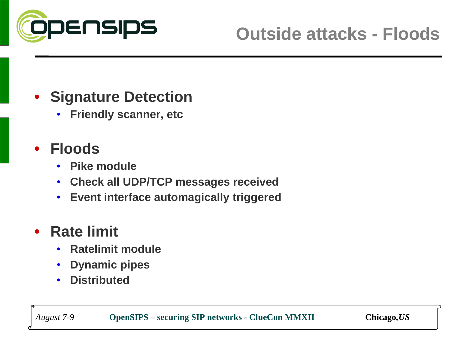

#### • **Signature Detection**

• **Friendly scanner, etc**

#### • **Floods**

- **Pike module**
- **Check all UDP/TCP messages received**
- **Event interface automagically triggered**

#### • **Rate limit**

- **Ratelimit module**
- **Dynamic pipes**
- **Distributed**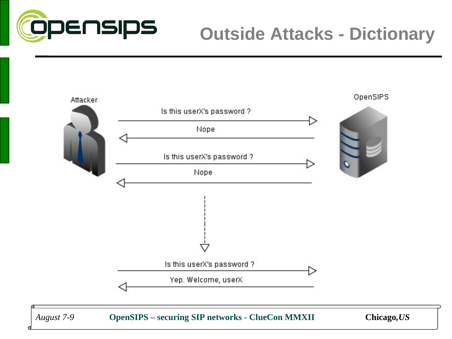

### **Outside Attacks - Dictionary**

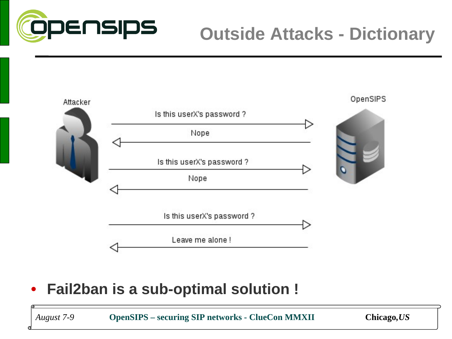

### **Outside Attacks - Dictionary**



#### o<br>O • **Fail2ban is a sub-optimal solution !**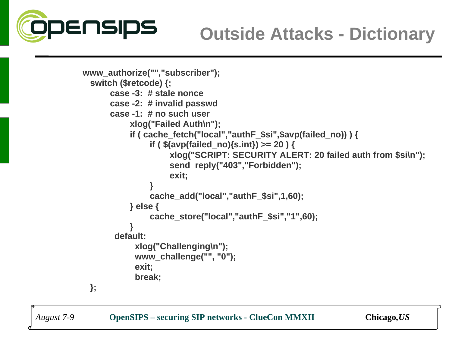

### **Outside Attacks - Dictionary**

```
 www_authorize("","subscriber");
          switch ($retcode) {;
              case -3: # stale nonce
              case -2: # invalid passwd
              case -1: # no such user
                   xlog("Failed Auth\n");
                   if ( cache_fetch("local","authF_$si",$avp(failed_no)) ) {
                       if ( $(avp(failed_no){s.int}) >= 20 ) {
                            xlog("SCRIPT: SECURITY ALERT: 20 failed auth from $si\n");
                           send_reply("403","Forbidden");
                           exit;
 }
                      cache_add("local","authF_$si",1,60);
                   } else {
                       cache_store("local","authF_$si","1",60);
 }
               default:
                    xlog("Challenging\n");
                    www_challenge("", "0");
                    exit;
                    break;
         };
```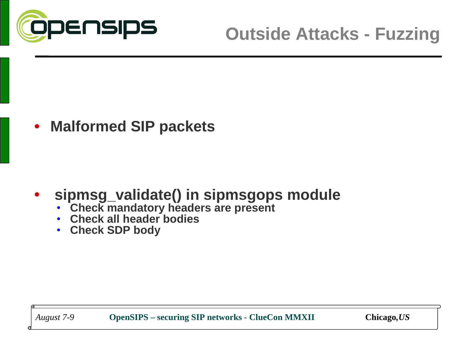

• **Malformed SIP packets**

- **sipmsg\_validate() in sipmsgops module**
	- **Check mandatory headers are present**
	- **Check all header bodies**
	- **Check SDP body**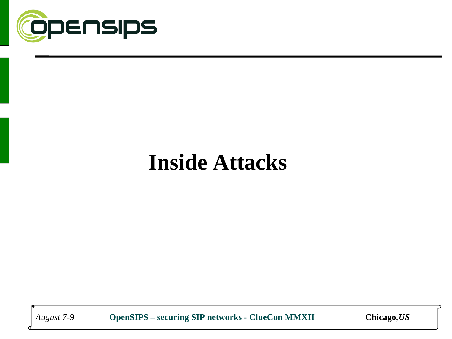

# **Inside Attacks**

*August 7-9* **OpenSIPS – securing SIP networks - ClueCon MMXII Chicago***,US*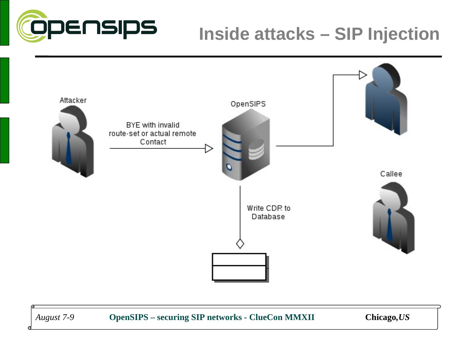

### **Inside attacks – SIP Injection**

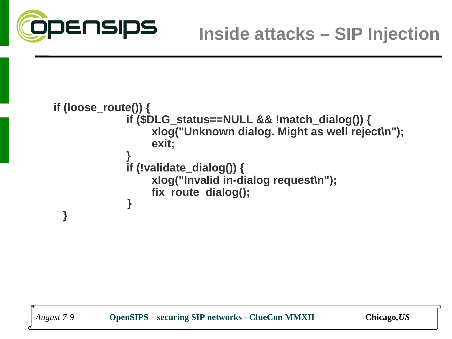

```
if (loose_route()) {
               if ($DLG_status==NULL && !match_dialog()) {
                   xlog("Unknown dialog. Might as well reject\n");
                   exit;
 }
               if (!validate_dialog()) {
                   xlog("Invalid in-dialog request\n");
                  fix_route_dialog();
               }
   }
```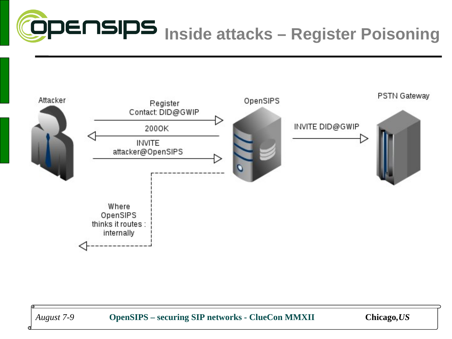



*August 7-9* **OpenSIPS – securing SIP networks - ClueCon MMXII Chicago***,US*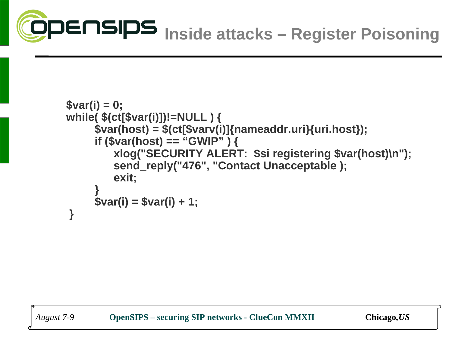

```
 $var(i) = 0;
   while( $(ct[$var(i)])!=NULL ) {
         $var(host) = $(ct[$varv(i)]{nameaddr.uri}{uri.host});
         if ($var(host) == "GWIP" ) {
             xlog("SECURITY ALERT: $si registering $var(host)\n");
             send_reply("476", "Contact Unacceptable );
             exit;
 }
         $var(i) = $var(i) + 1;
    }
```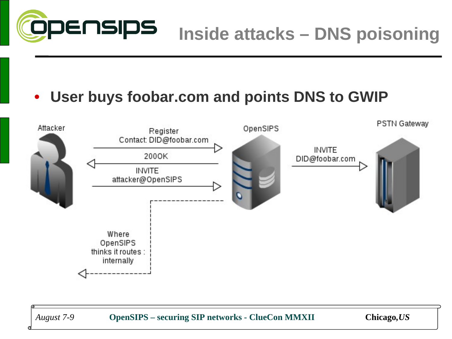

#### • **User buys foobar.com and points DNS to GWIP**

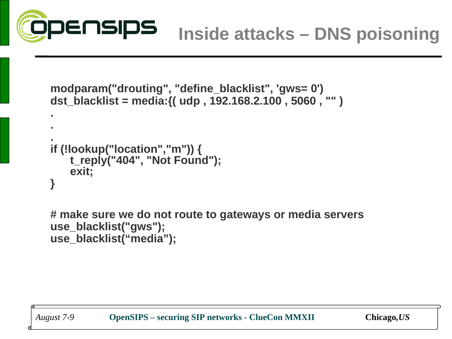

```
modparam("drouting", "define_blacklist", 'gws= 0')
dst_blacklist = media:{( udp , 192.168.2.100 , 5060 , "" )
.
.
```

```
.
if (!lookup("location","m")) {
   t_reply("404", "Not Found");
   exit;
}
```
**# make sure we do not route to gateways or media servers use\_blacklist("gws"); use\_blacklist("media");**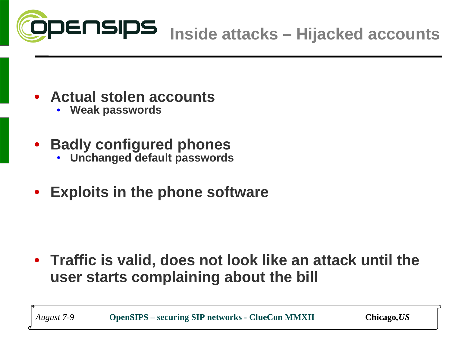

- **Actual stolen accounts** 
	- **Weak passwords**
- **Badly configured phones**
	- **Unchanged default passwords**
- **Exploits in the phone software**

• **Traffic is valid, does not look like an attack until the user starts complaining about the bill**

o<br>O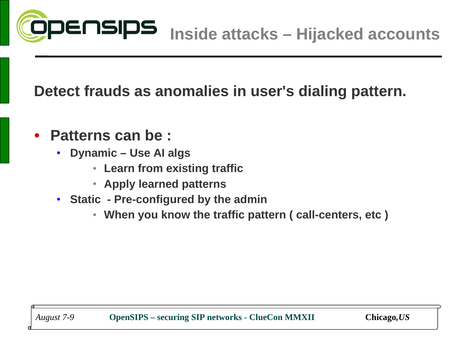

#### **Detect frauds as anomalies in user's dialing pattern.**

- **Patterns can be :**
	- **Dynamic Use AI algs**
		- **Learn from existing traffic**
		- **Apply learned patterns**
	- **Static Pre-configured by the admin**
		- **When you know the traffic pattern ( call-centers, etc )**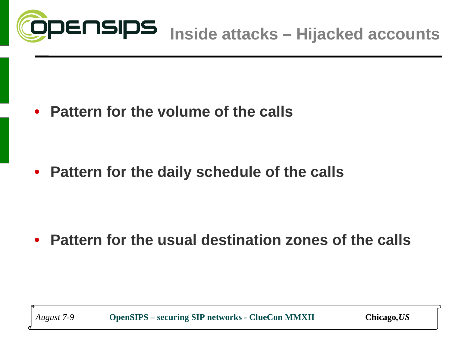

• **Pattern for the volume of the calls**

• **Pattern for the daily schedule of the calls**

• **Pattern for the usual destination zones of the calls**

o<br>O